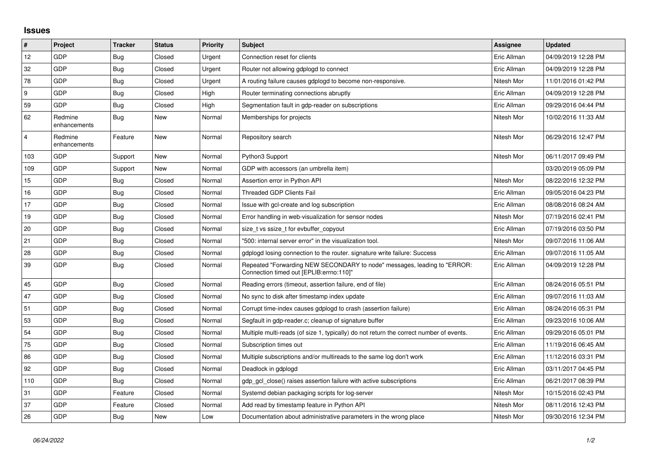## **Issues**

| $\vert$ #      | Project                 | <b>Tracker</b> | <b>Status</b> | <b>Priority</b> | <b>Subject</b>                                                                                                      | <b>Assignee</b> | <b>Updated</b>      |
|----------------|-------------------------|----------------|---------------|-----------------|---------------------------------------------------------------------------------------------------------------------|-----------------|---------------------|
| 12             | GDP                     | Bug            | Closed        | Urgent          | Connection reset for clients                                                                                        | Eric Allman     | 04/09/2019 12:28 PM |
| 32             | GDP                     | Bug            | Closed        | Urgent          | Router not allowing gdplogd to connect                                                                              | Eric Allman     | 04/09/2019 12:28 PM |
| 78             | <b>GDP</b>              | <b>Bug</b>     | Closed        | Urgent          | A routing failure causes gdplogd to become non-responsive.                                                          | Nitesh Mor      | 11/01/2016 01:42 PM |
| 9              | GDP                     | Bug            | Closed        | High            | Router terminating connections abruptly                                                                             | Eric Allman     | 04/09/2019 12:28 PM |
| 59             | GDP                     | Bug            | Closed        | High            | Segmentation fault in gdp-reader on subscriptions                                                                   | Eric Allman     | 09/29/2016 04:44 PM |
| 62             | Redmine<br>enhancements | <b>Bug</b>     | New           | Normal          | Memberships for projects                                                                                            | Nitesh Mor      | 10/02/2016 11:33 AM |
| $\overline{4}$ | Redmine<br>enhancements | Feature        | New           | Normal          | Repository search                                                                                                   | Nitesh Mor      | 06/29/2016 12:47 PM |
| 103            | GDP                     | Support        | New           | Normal          | Python3 Support                                                                                                     | Nitesh Mor      | 06/11/2017 09:49 PM |
| 109            | <b>GDP</b>              | Support        | New           | Normal          | GDP with accessors (an umbrella item)                                                                               |                 | 03/20/2019 05:09 PM |
| 15             | <b>GDP</b>              | Bug            | Closed        | Normal          | Assertion error in Python API                                                                                       | Nitesh Mor      | 08/22/2016 12:32 PM |
| 16             | GDP                     | <b>Bug</b>     | Closed        | Normal          | <b>Threaded GDP Clients Fail</b>                                                                                    | Eric Allman     | 09/05/2016 04:23 PM |
| 17             | <b>GDP</b>              | Bug            | Closed        | Normal          | Issue with gcl-create and log subscription                                                                          | Eric Allman     | 08/08/2016 08:24 AM |
| 19             | GDP                     | Bug            | Closed        | Normal          | Error handling in web-visualization for sensor nodes                                                                | Nitesh Mor      | 07/19/2016 02:41 PM |
| 20             | GDP                     | Bug            | Closed        | Normal          | size t vs ssize t for evbuffer copyout                                                                              | Eric Allman     | 07/19/2016 03:50 PM |
| 21             | GDP                     | Bug            | Closed        | Normal          | "500: internal server error" in the visualization tool.                                                             | Nitesh Mor      | 09/07/2016 11:06 AM |
| 28             | GDP                     | <b>Bug</b>     | Closed        | Normal          | gdplogd losing connection to the router, signature write failure: Success                                           | Eric Allman     | 09/07/2016 11:05 AM |
| 39             | GDP                     | Bug            | Closed        | Normal          | Repeated "Forwarding NEW SECONDARY to node" messages, leading to "ERROR:<br>Connection timed out [EPLIB:errno:110]" | Eric Allman     | 04/09/2019 12:28 PM |
| 45             | GDP                     | Bug            | Closed        | Normal          | Reading errors (timeout, assertion failure, end of file)                                                            | Eric Allman     | 08/24/2016 05:51 PM |
| 47             | <b>GDP</b>              | Bug            | Closed        | Normal          | No sync to disk after timestamp index update                                                                        | Eric Allman     | 09/07/2016 11:03 AM |
| 51             | GDP                     | Bug            | Closed        | Normal          | Corrupt time-index causes gdplogd to crash (assertion failure)                                                      | Eric Allman     | 08/24/2016 05:31 PM |
| 53             | GDP                     | Bug            | Closed        | Normal          | Segfault in gdp-reader.c; cleanup of signature buffer                                                               | Eric Allman     | 09/23/2016 10:06 AM |
| 54             | <b>GDP</b>              | <b>Bug</b>     | Closed        | Normal          | Multiple multi-reads (of size 1, typically) do not return the correct number of events.                             | Eric Allman     | 09/29/2016 05:01 PM |
| 75             | GDP                     | Bug            | Closed        | Normal          | Subscription times out                                                                                              | Eric Allman     | 11/19/2016 06:45 AM |
| 86             | GDP                     | Bug            | Closed        | Normal          | Multiple subscriptions and/or multireads to the same log don't work                                                 | Eric Allman     | 11/12/2016 03:31 PM |
| 92             | GDP                     | Bug            | Closed        | Normal          | Deadlock in gdplogd                                                                                                 | Eric Allman     | 03/11/2017 04:45 PM |
| 110            | GDP                     | Bug            | Closed        | Normal          | gdp gcl close() raises assertion failure with active subscriptions                                                  | Eric Allman     | 06/21/2017 08:39 PM |
| 31             | GDP                     | Feature        | Closed        | Normal          | Systemd debian packaging scripts for log-server                                                                     | Nitesh Mor      | 10/15/2016 02:43 PM |
| 37             | GDP                     | Feature        | Closed        | Normal          | Add read by timestamp feature in Python API                                                                         | Nitesh Mor      | 08/11/2016 12:43 PM |
| 26             | <b>GDP</b>              | Bug            | New           | Low             | Documentation about administrative parameters in the wrong place                                                    | Nitesh Mor      | 09/30/2016 12:34 PM |